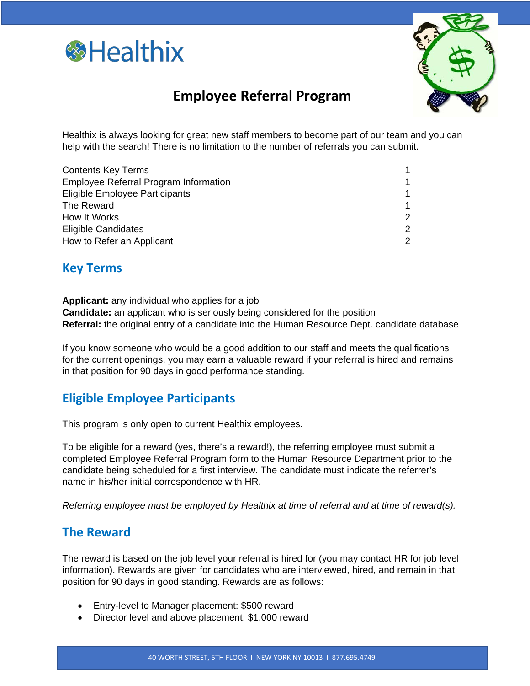



# **Employee Referral Program**

Healthix is always looking for great new staff members to become part of our team and you can help with the search! There is no limitation to the number of referrals you can submit.

| <b>Contents Key Terms</b>             |   |
|---------------------------------------|---|
| Employee Referral Program Information | 1 |
| Eligible Employee Participants        | 1 |
| The Reward                            | 1 |
| How It Works                          | 2 |
| <b>Eligible Candidates</b>            | 2 |
| How to Refer an Applicant             | 2 |
|                                       |   |

## **Key Terms**

**Applicant:** any individual who applies for a job **Candidate:** an applicant who is seriously being considered for the position **Referral:** the original entry of a candidate into the Human Resource Dept. candidate database

If you know someone who would be a good addition to our staff and meets the qualifications for the current openings, you may earn a valuable reward if your referral is hired and remains in that position for 90 days in good performance standing.

## **Eligible Employee Participants**

This program is only open to current Healthix employees.

To be eligible for a reward (yes, there's a reward!), the referring employee must submit a completed Employee Referral Program form to the Human Resource Department prior to the candidate being scheduled for a first interview. The candidate must indicate the referrer's name in his/her initial correspondence with HR.

*Referring employee must be employed by Healthix at time of referral and at time of reward(s).*

## **The Reward**

The reward is based on the job level your referral is hired for (you may contact HR for job level information). Rewards are given for candidates who are interviewed, hired, and remain in that position for 90 days in good standing. Rewards are as follows:

- Entry-level to Manager placement: \$500 reward
- Director level and above placement: \$1,000 reward